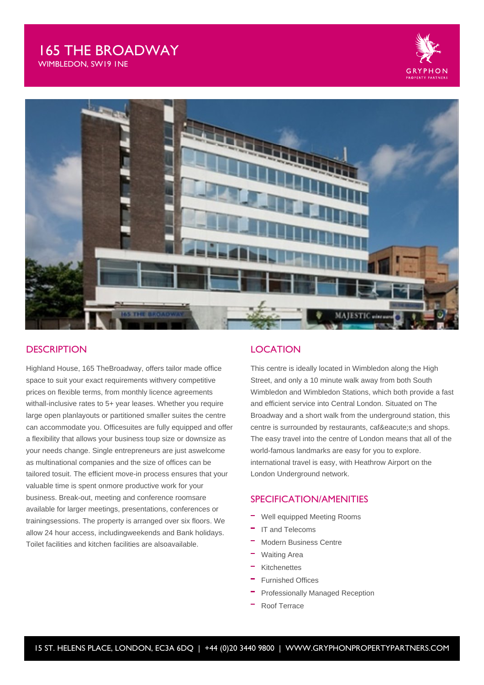# 165 THE BROADWAY

WIMBLEDON, SW19 1NE





### **DESCRIPTION**

Highland House, 165 TheBroadway, offers tailor made office space to suit your exact requirements withvery competitive prices on flexible terms, from monthly licence agreements withall-inclusive rates to 5+ year leases. Whether you require large open planlayouts or partitioned smaller suites the centre can accommodate you. Officesuites are fully equipped and offer a flexibility that allows your business toup size or downsize as your needs change. Single entrepreneurs are just aswelcome as multinational companies and the size of offices can be tailored tosuit. The efficient move-in process ensures that your valuable time is spent onmore productive work for your business. Break-out, meeting and conference roomsare available for larger meetings, presentations, conferences or trainingsessions. The property is arranged over six floors. We allow 24 hour access, includingweekends and Bank holidays. Toilet facilities and kitchen facilities are alsoavailable.

### LOCATION

This centre is ideally located in Wimbledon along the High Street, and only a 10 minute walk away from both South Wimbledon and Wimbledon Stations, which both provide a fast and efficient service into Central London. Situated on The Broadway and a short walk from the underground station, this centre is surrounded by restaurants, café s and shops. The easy travel into the centre of London means that all of the world-famous landmarks are easy for you to explore. international travel is easy, with Heathrow Airport on the London Underground network.

### SPECIFICATION/AMENITIES

- Well equipped Meeting Rooms
- IT and Telecoms
- Modern Business Centre
- Waiting Area
- Kitchenettes
- Furnished Offices
- Professionally Managed Reception
- Roof Terrace